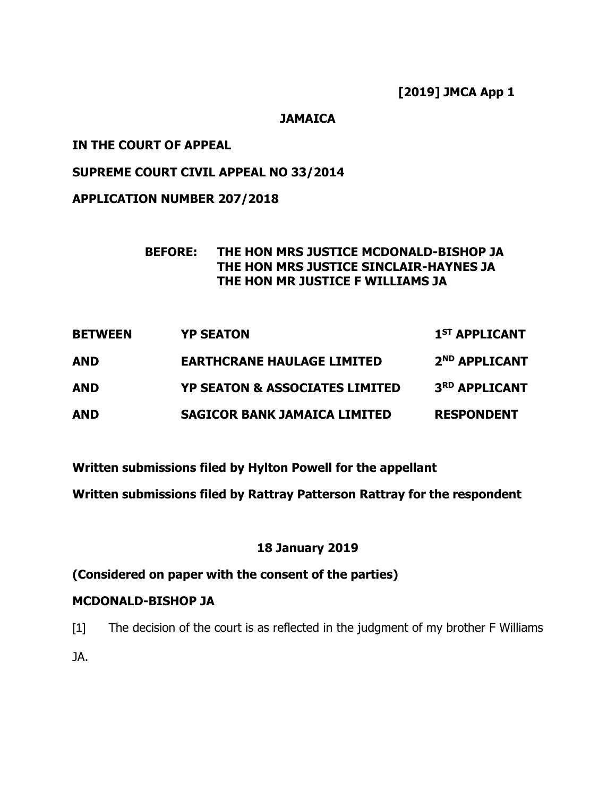**[2019] JMCA App 1**

**JAMAICA**

## **IN THE COURT OF APPEAL**

## **SUPREME COURT CIVIL APPEAL NO 33/2014**

## **APPLICATION NUMBER 207/2018**

### **BEFORE: THE HON MRS JUSTICE MCDONALD-BISHOP JA THE HON MRS JUSTICE SINCLAIR-HAYNES JA THE HON MR JUSTICE F WILLIAMS JA**

| <b>BETWEEN</b> | <b>YP SEATON</b>                          | 1 <sup>ST</sup> APPLICANT |
|----------------|-------------------------------------------|---------------------------|
| AND            | <b>EARTHCRANE HAULAGE LIMITED</b>         | 2 <sup>ND</sup> APPLICANT |
| AND            | <b>YP SEATON &amp; ASSOCIATES LIMITED</b> | 3RD APPLICANT             |
| <b>AND</b>     | <b>SAGICOR BANK JAMAICA LIMITED</b>       | <b>RESPONDENT</b>         |

**Written submissions filed by Hylton Powell for the appellant**

**Written submissions filed by Rattray Patterson Rattray for the respondent** 

# **18 January 2019**

# **(Considered on paper with the consent of the parties)**

### **MCDONALD-BISHOP JA**

[1] The decision of the court is as reflected in the judgment of my brother F Williams JA.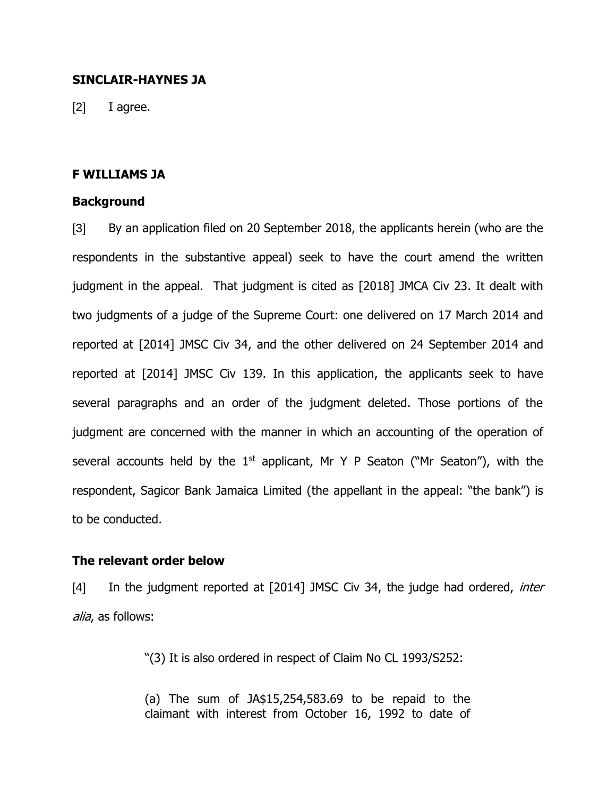### **SINCLAIR-HAYNES JA**

[2] I agree.

#### **F WILLIAMS JA**

#### **Background**

[3] By an application filed on 20 September 2018, the applicants herein (who are the respondents in the substantive appeal) seek to have the court amend the written judgment in the appeal. That judgment is cited as [2018] JMCA Civ 23. It dealt with two judgments of a judge of the Supreme Court: one delivered on 17 March 2014 and reported at [2014] JMSC Civ 34, and the other delivered on 24 September 2014 and reported at [2014] JMSC Civ 139. In this application, the applicants seek to have several paragraphs and an order of the judgment deleted. Those portions of the judgment are concerned with the manner in which an accounting of the operation of several accounts held by the  $1<sup>st</sup>$  applicant, Mr Y P Seaton ("Mr Seaton"), with the respondent, Sagicor Bank Jamaica Limited (the appellant in the appeal: "the bank") is to be conducted.

### **The relevant order below**

[4] In the judgment reported at [2014] JMSC Civ 34, the judge had ordered, *inter* alia, as follows:

"(3) It is also ordered in respect of Claim No CL 1993/S252:

(a) The sum of JA\$15,254,583.69 to be repaid to the claimant with interest from October 16, 1992 to date of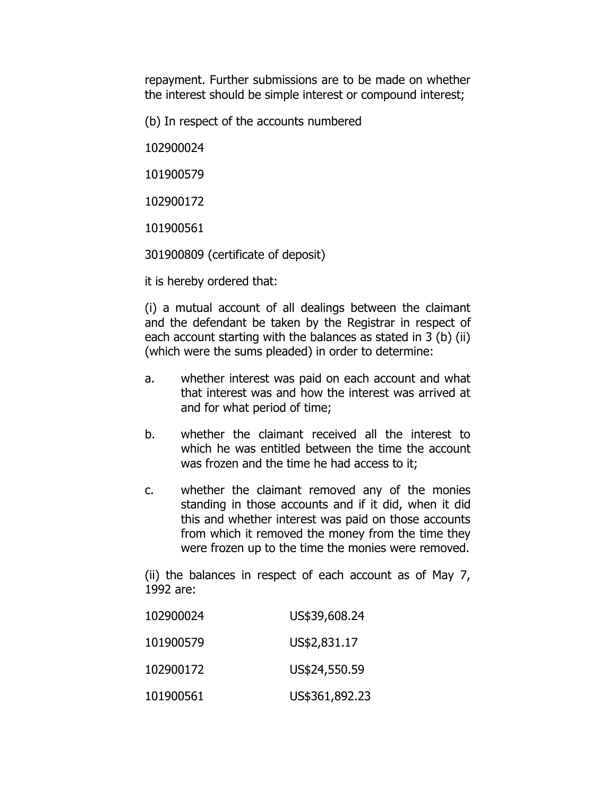repayment. Further submissions are to be made on whether the interest should be simple interest or compound interest;

(b) In respect of the accounts numbered

102900024

101900579

102900172

101900561

301900809 (certificate of deposit)

it is hereby ordered that:

(i) a mutual account of all dealings between the claimant and the defendant be taken by the Registrar in respect of each account starting with the balances as stated in 3 (b) (ii) (which were the sums pleaded) in order to determine:

- a. whether interest was paid on each account and what that interest was and how the interest was arrived at and for what period of time;
- b. whether the claimant received all the interest to which he was entitled between the time the account was frozen and the time he had access to it;
- c. whether the claimant removed any of the monies standing in those accounts and if it did, when it did this and whether interest was paid on those accounts from which it removed the money from the time they were frozen up to the time the monies were removed.

(ii) the balances in respect of each account as of May 7, 1992 are:

| 102900024 | US\$39,608.24  |
|-----------|----------------|
| 101900579 | US\$2,831.17   |
| 102900172 | US\$24,550.59  |
| 101900561 | US\$361,892.23 |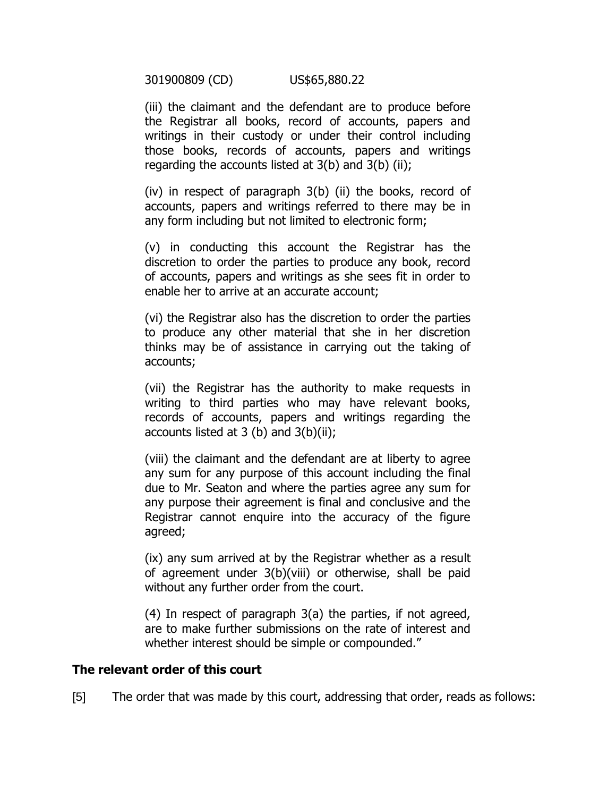301900809 (CD) US\$65,880.22

(iii) the claimant and the defendant are to produce before the Registrar all books, record of accounts, papers and writings in their custody or under their control including those books, records of accounts, papers and writings regarding the accounts listed at  $3(b)$  and  $3(b)$  (ii);

(iv) in respect of paragraph 3(b) (ii) the books, record of accounts, papers and writings referred to there may be in any form including but not limited to electronic form;

(v) in conducting this account the Registrar has the discretion to order the parties to produce any book, record of accounts, papers and writings as she sees fit in order to enable her to arrive at an accurate account;

(vi) the Registrar also has the discretion to order the parties to produce any other material that she in her discretion thinks may be of assistance in carrying out the taking of accounts;

(vii) the Registrar has the authority to make requests in writing to third parties who may have relevant books, records of accounts, papers and writings regarding the accounts listed at  $3$  (b) and  $3(b)(ii)$ ;

(viii) the claimant and the defendant are at liberty to agree any sum for any purpose of this account including the final due to Mr. Seaton and where the parties agree any sum for any purpose their agreement is final and conclusive and the Registrar cannot enquire into the accuracy of the figure agreed;

(ix) any sum arrived at by the Registrar whether as a result of agreement under 3(b)(viii) or otherwise, shall be paid without any further order from the court.

(4) In respect of paragraph 3(a) the parties, if not agreed, are to make further submissions on the rate of interest and whether interest should be simple or compounded."

### **The relevant order of this court**

[5] The order that was made by this court, addressing that order, reads as follows: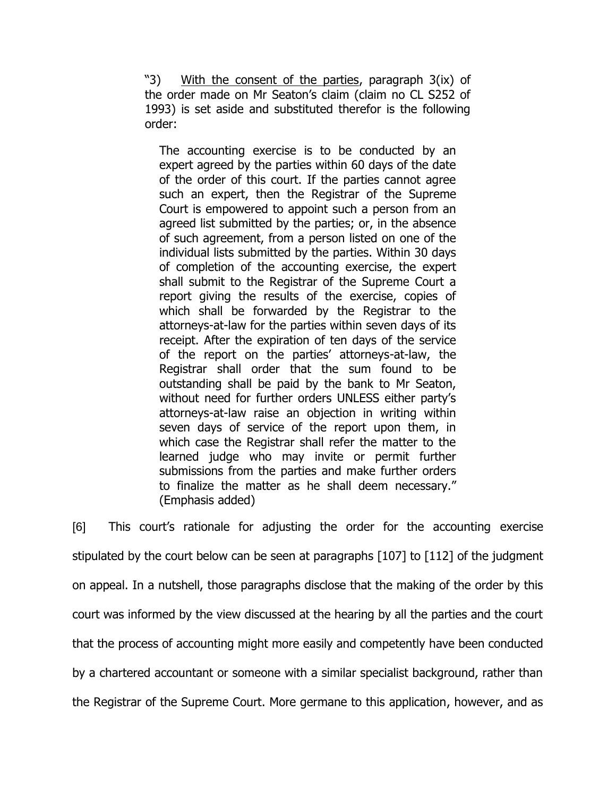"3) With the consent of the parties, paragraph 3(ix) of the order made on Mr Seaton's claim (claim no CL S252 of 1993) is set aside and substituted therefor is the following order:

The accounting exercise is to be conducted by an expert agreed by the parties within 60 days of the date of the order of this court. If the parties cannot agree such an expert, then the Registrar of the Supreme Court is empowered to appoint such a person from an agreed list submitted by the parties; or, in the absence of such agreement, from a person listed on one of the individual lists submitted by the parties. Within 30 days of completion of the accounting exercise, the expert shall submit to the Registrar of the Supreme Court a report giving the results of the exercise, copies of which shall be forwarded by the Registrar to the attorneys-at-law for the parties within seven days of its receipt. After the expiration of ten days of the service of the report on the parties' attorneys-at-law, the Registrar shall order that the sum found to be outstanding shall be paid by the bank to Mr Seaton, without need for further orders UNLESS either party's attorneys-at-law raise an objection in writing within seven days of service of the report upon them, in which case the Registrar shall refer the matter to the learned judge who may invite or permit further submissions from the parties and make further orders to finalize the matter as he shall deem necessary." (Emphasis added)

[6] This court's rationale for adjusting the order for the accounting exercise stipulated by the court below can be seen at paragraphs [107] to [112] of the judgment on appeal. In a nutshell, those paragraphs disclose that the making of the order by this court was informed by the view discussed at the hearing by all the parties and the court that the process of accounting might more easily and competently have been conducted by a chartered accountant or someone with a similar specialist background, rather than the Registrar of the Supreme Court. More germane to this application, however, and as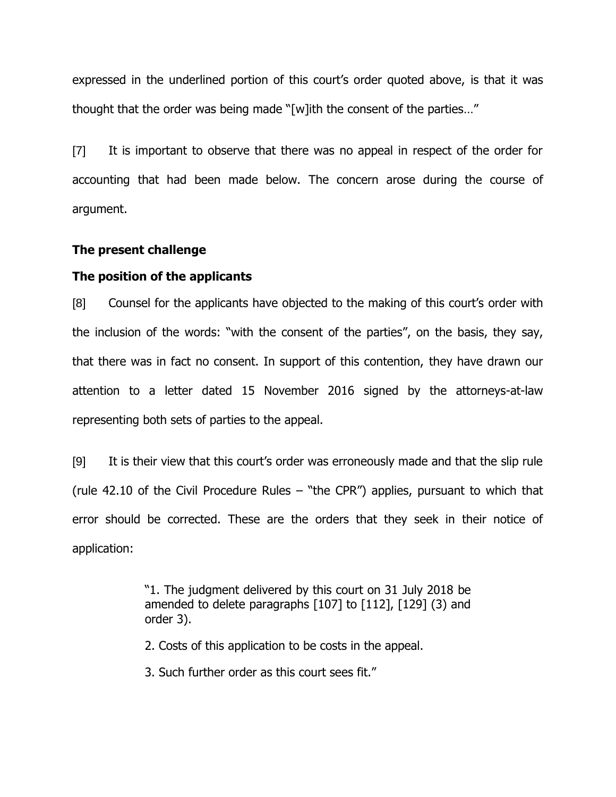expressed in the underlined portion of this court's order quoted above, is that it was thought that the order was being made "[w]ith the consent of the parties…"

[7] It is important to observe that there was no appeal in respect of the order for accounting that had been made below. The concern arose during the course of argument.

#### **The present challenge**

### **The position of the applicants**

[8] Counsel for the applicants have objected to the making of this court's order with the inclusion of the words: "with the consent of the parties", on the basis, they say, that there was in fact no consent. In support of this contention, they have drawn our attention to a letter dated 15 November 2016 signed by the attorneys-at-law representing both sets of parties to the appeal.

[9] It is their view that this court's order was erroneously made and that the slip rule (rule 42.10 of the Civil Procedure Rules – "the CPR") applies, pursuant to which that error should be corrected. These are the orders that they seek in their notice of application:

> "1. The judgment delivered by this court on 31 July 2018 be amended to delete paragraphs [107] to [112], [129] (3) and order 3).

2. Costs of this application to be costs in the appeal.

3. Such further order as this court sees fit."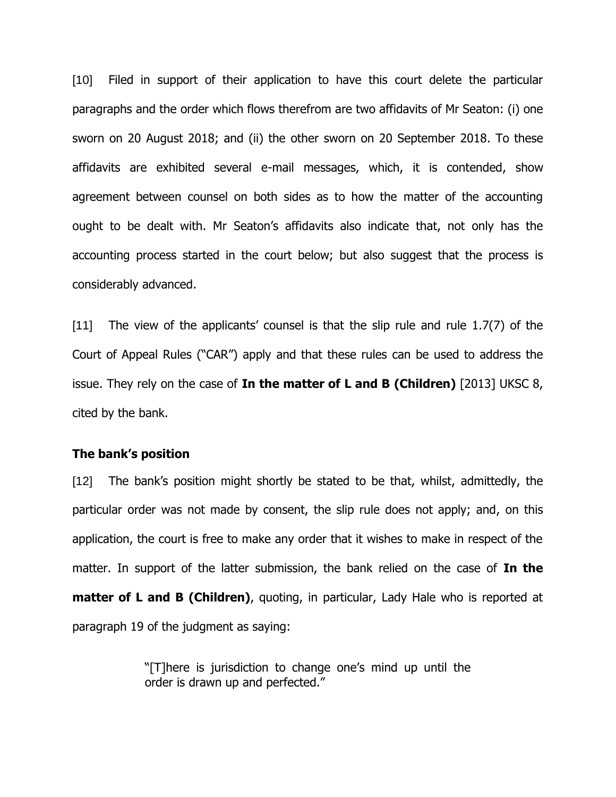[10] Filed in support of their application to have this court delete the particular paragraphs and the order which flows therefrom are two affidavits of Mr Seaton: (i) one sworn on 20 August 2018; and (ii) the other sworn on 20 September 2018. To these affidavits are exhibited several e-mail messages, which, it is contended, show agreement between counsel on both sides as to how the matter of the accounting ought to be dealt with. Mr Seaton's affidavits also indicate that, not only has the accounting process started in the court below; but also suggest that the process is considerably advanced.

[11] The view of the applicants' counsel is that the slip rule and rule 1.7(7) of the Court of Appeal Rules ("CAR") apply and that these rules can be used to address the issue. They rely on the case of **In the matter of L and B (Children)** [2013] UKSC 8, cited by the bank.

## **The bank's position**

[12] The bank's position might shortly be stated to be that, whilst, admittedly, the particular order was not made by consent, the slip rule does not apply; and, on this application, the court is free to make any order that it wishes to make in respect of the matter. In support of the latter submission, the bank relied on the case of **In the matter of L and B (Children)**, quoting, in particular, Lady Hale who is reported at paragraph 19 of the judgment as saying:

> "[T]here is jurisdiction to change one's mind up until the order is drawn up and perfected."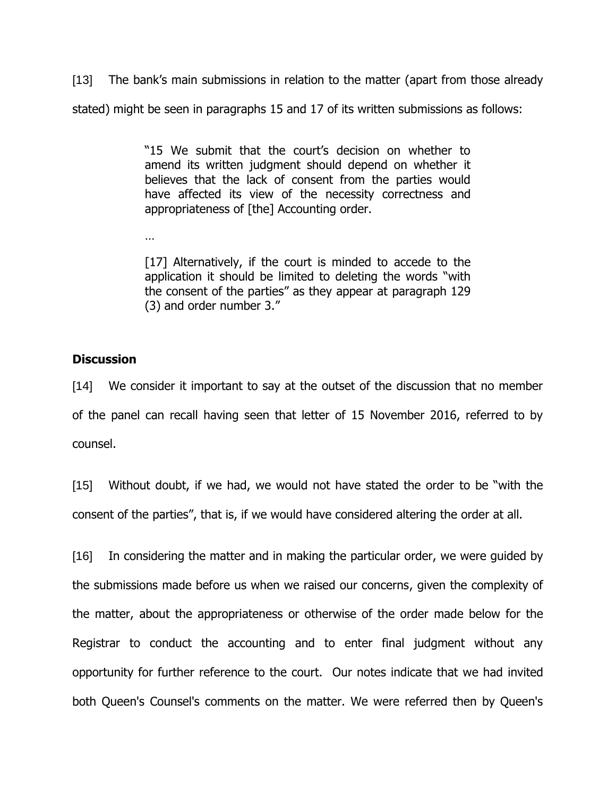[13] The bank's main submissions in relation to the matter (apart from those already stated) might be seen in paragraphs 15 and 17 of its written submissions as follows:

> "15 We submit that the court's decision on whether to amend its written judgment should depend on whether it believes that the lack of consent from the parties would have affected its view of the necessity correctness and appropriateness of [the] Accounting order.

> [17] Alternatively, if the court is minded to accede to the application it should be limited to deleting the words "with the consent of the parties" as they appear at paragraph 129 (3) and order number 3."

# **Discussion**

…

[14] We consider it important to say at the outset of the discussion that no member of the panel can recall having seen that letter of 15 November 2016, referred to by counsel.

[15] Without doubt, if we had, we would not have stated the order to be "with the consent of the parties", that is, if we would have considered altering the order at all.

[16] In considering the matter and in making the particular order, we were guided by the submissions made before us when we raised our concerns, given the complexity of the matter, about the appropriateness or otherwise of the order made below for the Registrar to conduct the accounting and to enter final judgment without any opportunity for further reference to the court. Our notes indicate that we had invited both Queen's Counsel's comments on the matter. We were referred then by Queen's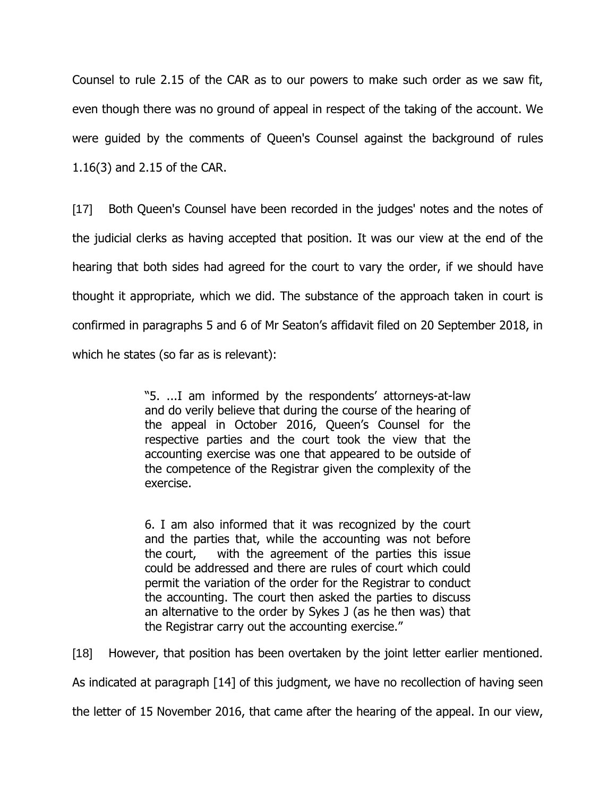Counsel to rule 2.15 of the CAR as to our powers to make such order as we saw fit, even though there was no ground of appeal in respect of the taking of the account. We were guided by the comments of Queen's Counsel against the background of rules 1.16(3) and 2.15 of the CAR.

[17] Both Queen's Counsel have been recorded in the judges' notes and the notes of the judicial clerks as having accepted that position. It was our view at the end of the hearing that both sides had agreed for the court to vary the order, if we should have thought it appropriate, which we did. The substance of the approach taken in court is confirmed in paragraphs 5 and 6 of Mr Seaton's affidavit filed on 20 September 2018, in which he states (so far as is relevant):

> "5. ...I am informed by the respondents' attorneys-at-law and do verily believe that during the course of the hearing of the appeal in October 2016, Queen's Counsel for the respective parties and the court took the view that the accounting exercise was one that appeared to be outside of the competence of the Registrar given the complexity of the exercise.

> 6. I am also informed that it was recognized by the court and the parties that, while the accounting was not before the court, with the agreement of the parties this issue could be addressed and there are rules of court which could permit the variation of the order for the Registrar to conduct the accounting. The court then asked the parties to discuss an alternative to the order by Sykes J (as he then was) that the Registrar carry out the accounting exercise."

[18] However, that position has been overtaken by the joint letter earlier mentioned.

As indicated at paragraph [14] of this judgment, we have no recollection of having seen

the letter of 15 November 2016, that came after the hearing of the appeal. In our view,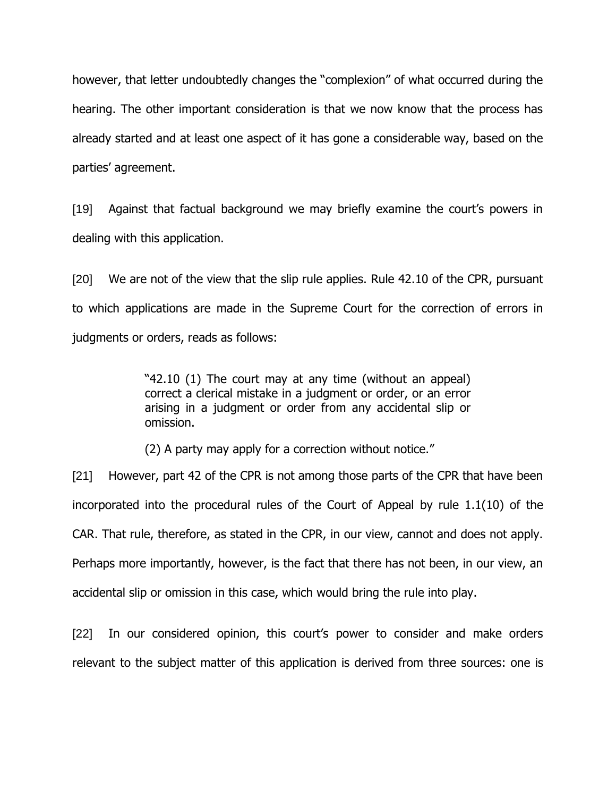however, that letter undoubtedly changes the "complexion" of what occurred during the hearing. The other important consideration is that we now know that the process has already started and at least one aspect of it has gone a considerable way, based on the parties' agreement.

[19] Against that factual background we may briefly examine the court's powers in dealing with this application.

[20] We are not of the view that the slip rule applies. Rule 42.10 of the CPR, pursuant to which applications are made in the Supreme Court for the correction of errors in judgments or orders, reads as follows:

> "42.10 (1) The court may at any time (without an appeal) correct a clerical mistake in a judgment or order, or an error arising in a judgment or order from any accidental slip or omission.

(2) A party may apply for a correction without notice."

[21] However, part 42 of the CPR is not among those parts of the CPR that have been incorporated into the procedural rules of the Court of Appeal by rule 1.1(10) of the CAR. That rule, therefore, as stated in the CPR, in our view, cannot and does not apply. Perhaps more importantly, however, is the fact that there has not been, in our view, an accidental slip or omission in this case, which would bring the rule into play.

[22] In our considered opinion, this court's power to consider and make orders relevant to the subject matter of this application is derived from three sources: one is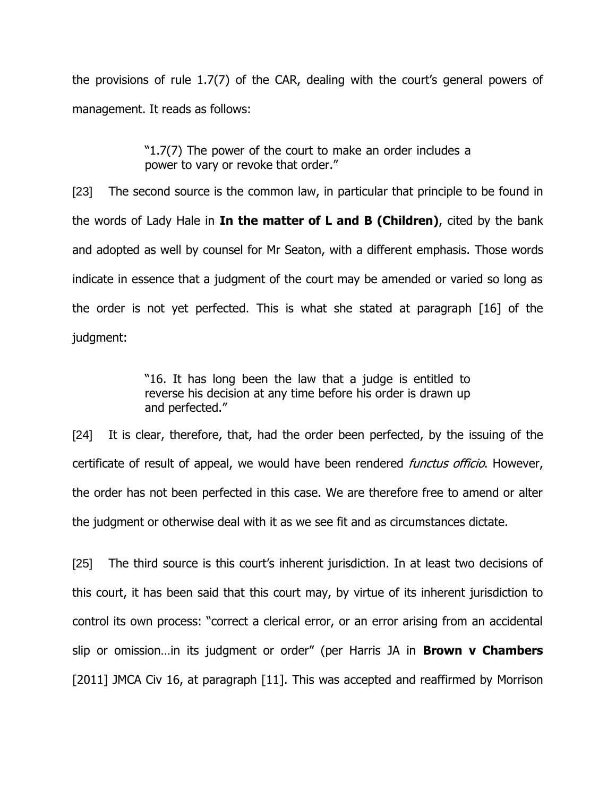the provisions of rule 1.7(7) of the CAR, dealing with the court's general powers of management. It reads as follows:

> "1.7(7) The power of the court to make an order includes a power to vary or revoke that order."

[23] The second source is the common law, in particular that principle to be found in the words of Lady Hale in **In the matter of L and B (Children)**, cited by the bank and adopted as well by counsel for Mr Seaton, with a different emphasis. Those words indicate in essence that a judgment of the court may be amended or varied so long as the order is not yet perfected. This is what she stated at paragraph [16] of the judgment:

> "16. It has long been the law that a judge is entitled to reverse his decision at any time before his order is drawn up and perfected."

[24] It is clear, therefore, that, had the order been perfected, by the issuing of the certificate of result of appeal, we would have been rendered *functus officio*. However, the order has not been perfected in this case. We are therefore free to amend or alter the judgment or otherwise deal with it as we see fit and as circumstances dictate.

[25] The third source is this court's inherent jurisdiction. In at least two decisions of this court, it has been said that this court may, by virtue of its inherent jurisdiction to control its own process: "correct a clerical error, or an error arising from an accidental slip or omission…in its judgment or order" (per Harris JA in **Brown v Chambers** [2011] JMCA Civ 16, at paragraph [11]. This was accepted and reaffirmed by Morrison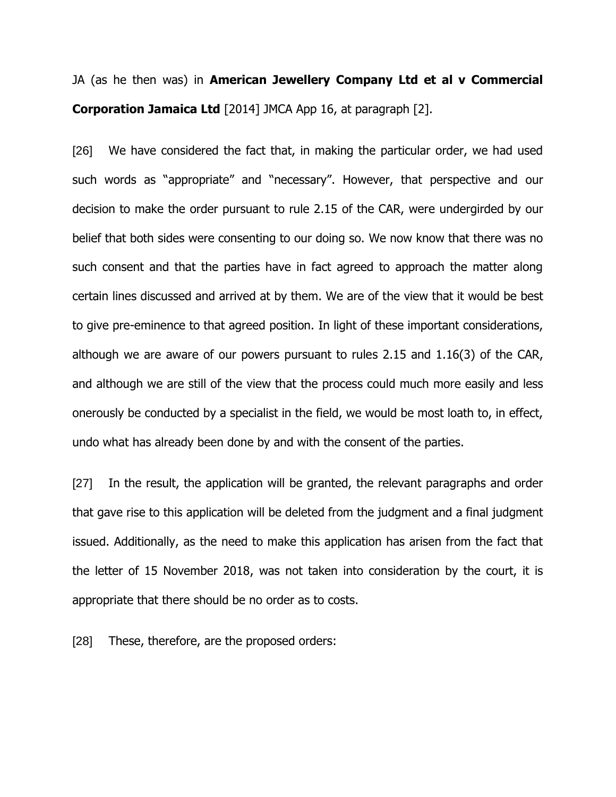JA (as he then was) in **American Jewellery Company Ltd et al v Commercial Corporation Jamaica Ltd** [2014] JMCA App 16, at paragraph [2].

[26] We have considered the fact that, in making the particular order, we had used such words as "appropriate" and "necessary". However, that perspective and our decision to make the order pursuant to rule 2.15 of the CAR, were undergirded by our belief that both sides were consenting to our doing so. We now know that there was no such consent and that the parties have in fact agreed to approach the matter along certain lines discussed and arrived at by them. We are of the view that it would be best to give pre-eminence to that agreed position. In light of these important considerations, although we are aware of our powers pursuant to rules 2.15 and 1.16(3) of the CAR, and although we are still of the view that the process could much more easily and less onerously be conducted by a specialist in the field, we would be most loath to, in effect, undo what has already been done by and with the consent of the parties.

[27] In the result, the application will be granted, the relevant paragraphs and order that gave rise to this application will be deleted from the judgment and a final judgment issued. Additionally, as the need to make this application has arisen from the fact that the letter of 15 November 2018, was not taken into consideration by the court, it is appropriate that there should be no order as to costs.

[28] These, therefore, are the proposed orders: